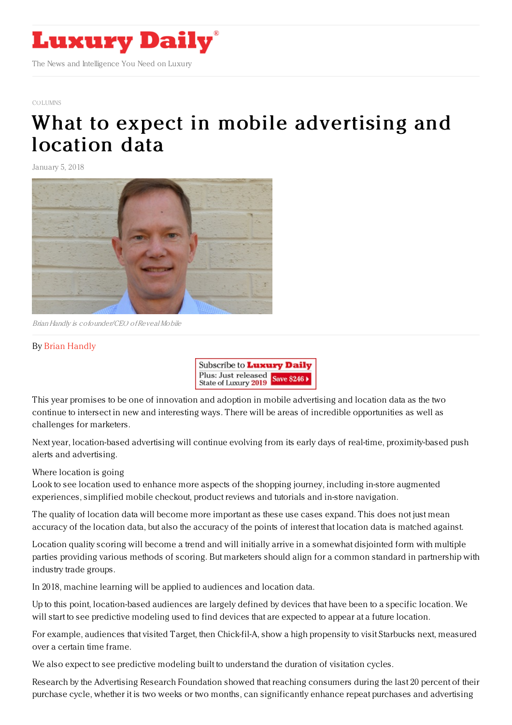

#### [COLUMNS](https://www.luxurydaily.com/category/opinion/columns/)

# What to expect in mobile [advertising](https://www.luxurydaily.com/what-to-expect-in-mobile-advertising-and-location-data-in-2018/) and location data

January 5, 2018



Brian Handly is cofounder/CEO ofReveal Mobile

## By Brian [Handly](http://www.revealmobile.com)



This year promises to be one of innovation and adoption in mobile advertising and location data as the two continue to intersect in new and interesting ways. There will be areas of incredible opportunities as well as challenges for marketers.

Next year, location-based advertising will continue evolving from its early days of real-time, proximity-based push alerts and advertising.

Where location is going

Look to see location used to enhance more aspects of the shopping journey, including in-store augmented experiences, simplified mobile checkout, product reviews and tutorials and in-store navigation.

The quality of location data will become more important as these use cases expand. This does not just mean accuracy of the location data, but also the accuracy of the points of interest that location data is matched against.

Location quality scoring will become a trend and will initially arrive in a somewhat disjointed form with multiple parties providing various methods of scoring. But marketers should align for a common standard in partnership with industry trade groups.

In 2018, machine learning will be applied to audiences and location data.

Up to this point, location-based audiences are largely defined by devices that have been to a specific location. We will start to see predictive modeling used to find devices that are expected to appear at a future location.

For example, audiences that visited Target, then Chick-fil-A, show a high propensity to visit Starbucks next, measured over a certain time frame.

We also expect to see predictive modeling built to understand the duration of visitation cycles.

Research by the Advertising Research Foundation showed that reaching consumers during the last 20 percent of their purchase cycle, whether it is two weeks or two months, can significantly enhance repeat purchases and advertising